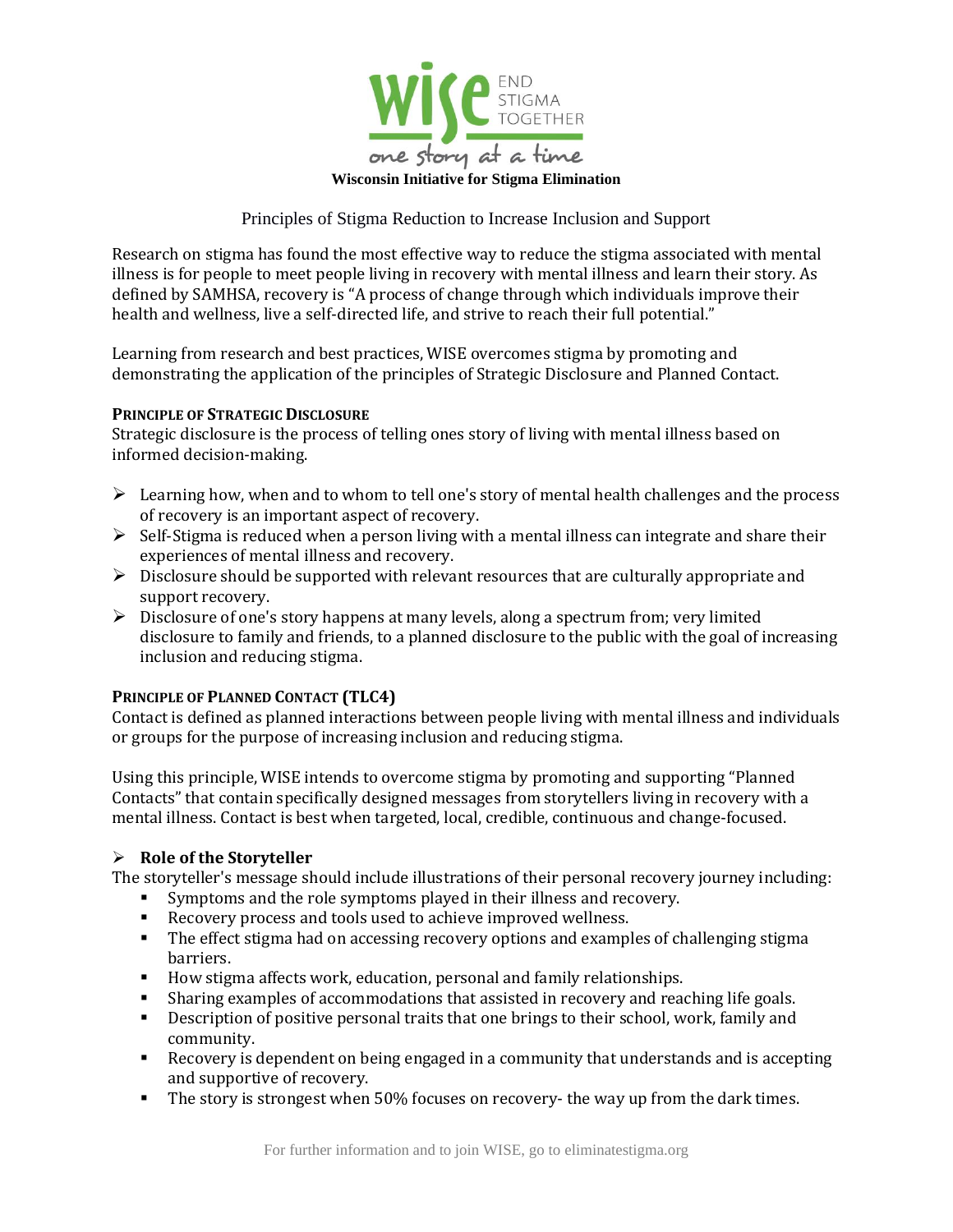

Principles of Stigma Reduction to Increase Inclusion and Support

Research on stigma has found the most effective way to reduce the stigma associated with mental illness is for people to meet people living in recovery with mental illness and learn their story. As defined by SAMHSA, recovery is "A process of change through which individuals improve their health and wellness, live a self-directed life, and strive to reach their full potential."

Learning from research and best practices, WISE overcomes stigma by promoting and demonstrating the application of the principles of Strategic Disclosure and Planned Contact.

### **PRINCIPLE OF STRATEGIC DISCLOSURE**

Strategic disclosure is the process of telling ones story of living with mental illness based on informed decision-making.

- ➢ Learning how, when and to whom to tell one's story of mental health challenges and the process of recovery is an important aspect of recovery.
- $\triangleright$  Self-Stigma is reduced when a person living with a mental illness can integrate and share their experiences of mental illness and recovery.
- $\triangleright$  Disclosure should be supported with relevant resources that are culturally appropriate and support recovery.
- ➢ Disclosure of one's story happens at many levels, along a spectrum from; very limited disclosure to family and friends, to a planned disclosure to the public with the goal of increasing inclusion and reducing stigma.

# **PRINCIPLE OF PLANNED CONTACT (TLC4)**

Contact is defined as planned interactions between people living with mental illness and individuals or groups for the purpose of increasing inclusion and reducing stigma.

Using this principle, WISE intends to overcome stigma by promoting and supporting "Planned Contacts" that contain specifically designed messages from storytellers living in recovery with a mental illness. Contact is best when targeted, local, credible, continuous and change-focused.

# ➢ **Role of the Storyteller**

The storyteller's message should include illustrations of their personal recovery journey including:

- Symptoms and the role symptoms played in their illness and recovery.
- Recovery process and tools used to achieve improved wellness.
- **•** The effect stigma had on accessing recovery options and examples of challenging stigma barriers.
- How stigma affects work, education, personal and family relationships.
- **E** Sharing examples of accommodations that assisted in recovery and reaching life goals.
- **•** Description of positive personal traits that one brings to their school, work, family and community.
- Recovery is dependent on being engaged in a community that understands and is accepting and supportive of recovery.
- **•** The story is strongest when 50% focuses on recovery- the way up from the dark times.